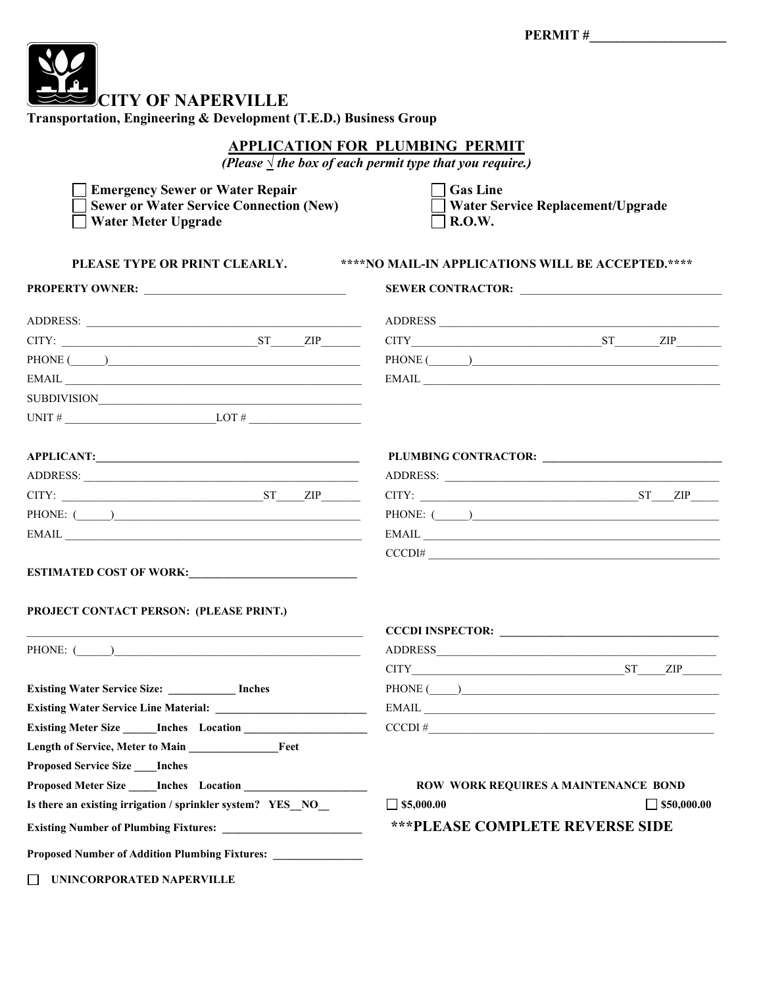| <b>ECITY OF NAPERVILLE</b><br>Transportation, Engineering & Development (T.E.D.) Business Group                                                                                                                                                                                                                                                                                                                                                                                             |                                                                              |
|---------------------------------------------------------------------------------------------------------------------------------------------------------------------------------------------------------------------------------------------------------------------------------------------------------------------------------------------------------------------------------------------------------------------------------------------------------------------------------------------|------------------------------------------------------------------------------|
| <b>APPLICATION FOR PLUMBING PERMIT</b><br>(Please $\frac{1}{2}$ the box of each permit type that you require.)                                                                                                                                                                                                                                                                                                                                                                              |                                                                              |
| <b>Emergency Sewer or Water Repair</b><br><b>Sewer or Water Service Connection (New)</b><br><b>Water Meter Upgrade</b>                                                                                                                                                                                                                                                                                                                                                                      | <b>Gas Line</b><br><b>Water Service Replacement/Upgrade</b><br><b>R.O.W.</b> |
| PLEASE TYPE OR PRINT CLEARLY.<br>****NO MAIL-IN APPLICATIONS WILL BE ACCEPTED.****                                                                                                                                                                                                                                                                                                                                                                                                          |                                                                              |
|                                                                                                                                                                                                                                                                                                                                                                                                                                                                                             |                                                                              |
|                                                                                                                                                                                                                                                                                                                                                                                                                                                                                             | ADDRESS                                                                      |
| $CITY:$ $ST$ $ZIP$                                                                                                                                                                                                                                                                                                                                                                                                                                                                          | $CITY$ $ST$ $ZIP$ $ZIP$                                                      |
| PHONE (Call Contract Contract Contract Contract Contract Contract Contract Contract Contract Contract Contract Contract Contract Contract Contract Contract Contract Contract Contract Contract Contract Contract Contract Con                                                                                                                                                                                                                                                              | PHONE $(\_\_)$                                                               |
|                                                                                                                                                                                                                                                                                                                                                                                                                                                                                             | $E\text{MAIL} \underline{\hspace{2cm}}$                                      |
| SUBDIVISION                                                                                                                                                                                                                                                                                                                                                                                                                                                                                 |                                                                              |
| UNIT # $\_\_\_\_\_\_\_\_$                                                                                                                                                                                                                                                                                                                                                                                                                                                                   |                                                                              |
|                                                                                                                                                                                                                                                                                                                                                                                                                                                                                             |                                                                              |
|                                                                                                                                                                                                                                                                                                                                                                                                                                                                                             |                                                                              |
|                                                                                                                                                                                                                                                                                                                                                                                                                                                                                             |                                                                              |
| $CITY:$ $ST$ $ZIP$                                                                                                                                                                                                                                                                                                                                                                                                                                                                          | $CITY:$ $ST_ ZIP_ $                                                          |
| PHONE: $\qquad \qquad$                                                                                                                                                                                                                                                                                                                                                                                                                                                                      | PHONE: $($                                                                   |
| $EMAIL \begin{tabular}{@{}c@{}} \hline \multicolumn{3}{c}{} & \multicolumn{3}{c}{} & \multicolumn{3}{c}{} & \multicolumn{3}{c}{} \\ \hline \multicolumn{3}{c}{} & \multicolumn{3}{c}{} & \multicolumn{3}{c}{} & \multicolumn{3}{c}{} \\ \hline \multicolumn{3}{c}{} & \multicolumn{3}{c}{} & \multicolumn{3}{c}{} & \multicolumn{3}{c}{} \\ \hline \multicolumn{3}{c}{} & \multicolumn{3}{c}{} & \multicolumn{3}{c}{} & \multicolumn{3}{c}{} \\ \hline \multicolumn{3}{c}{} & \multicolumn$ |                                                                              |
|                                                                                                                                                                                                                                                                                                                                                                                                                                                                                             | CCCDI#                                                                       |
| ESTIMATED COST OF WORK:                                                                                                                                                                                                                                                                                                                                                                                                                                                                     |                                                                              |
| <b>PROJECT CONTACT PERSON: (PLEASE PRINT.)</b>                                                                                                                                                                                                                                                                                                                                                                                                                                              |                                                                              |
|                                                                                                                                                                                                                                                                                                                                                                                                                                                                                             |                                                                              |
| PHONE: $\left($ $\right)$                                                                                                                                                                                                                                                                                                                                                                                                                                                                   |                                                                              |
|                                                                                                                                                                                                                                                                                                                                                                                                                                                                                             | $CITY$ $ST$ $ZIP$                                                            |
| Existing Water Service Size: ____________ Inches                                                                                                                                                                                                                                                                                                                                                                                                                                            | PHONE ( $\qquad$                                                             |
|                                                                                                                                                                                                                                                                                                                                                                                                                                                                                             | $EMAIL$                                                                      |
| Existing Meter Size Inches Location                                                                                                                                                                                                                                                                                                                                                                                                                                                         | $CCCDI \#$                                                                   |
|                                                                                                                                                                                                                                                                                                                                                                                                                                                                                             |                                                                              |
| <b>Proposed Service Size ___ Inches</b>                                                                                                                                                                                                                                                                                                                                                                                                                                                     |                                                                              |
|                                                                                                                                                                                                                                                                                                                                                                                                                                                                                             | ROW WORK REQUIRES A MAINTENANCE BOND                                         |
| Is there an existing irrigation / sprinkler system? YES_NO_                                                                                                                                                                                                                                                                                                                                                                                                                                 | $\Box$ \$5,000.00<br>$\Box$ \$50,000.00                                      |
|                                                                                                                                                                                                                                                                                                                                                                                                                                                                                             | <b>***PLEASE COMPLETE REVERSE SIDE</b>                                       |
| Proposed Number of Addition Plumbing Fixtures: _______________                                                                                                                                                                                                                                                                                                                                                                                                                              |                                                                              |
|                                                                                                                                                                                                                                                                                                                                                                                                                                                                                             |                                                                              |

**UNINCORPORATED NAPERVILLE**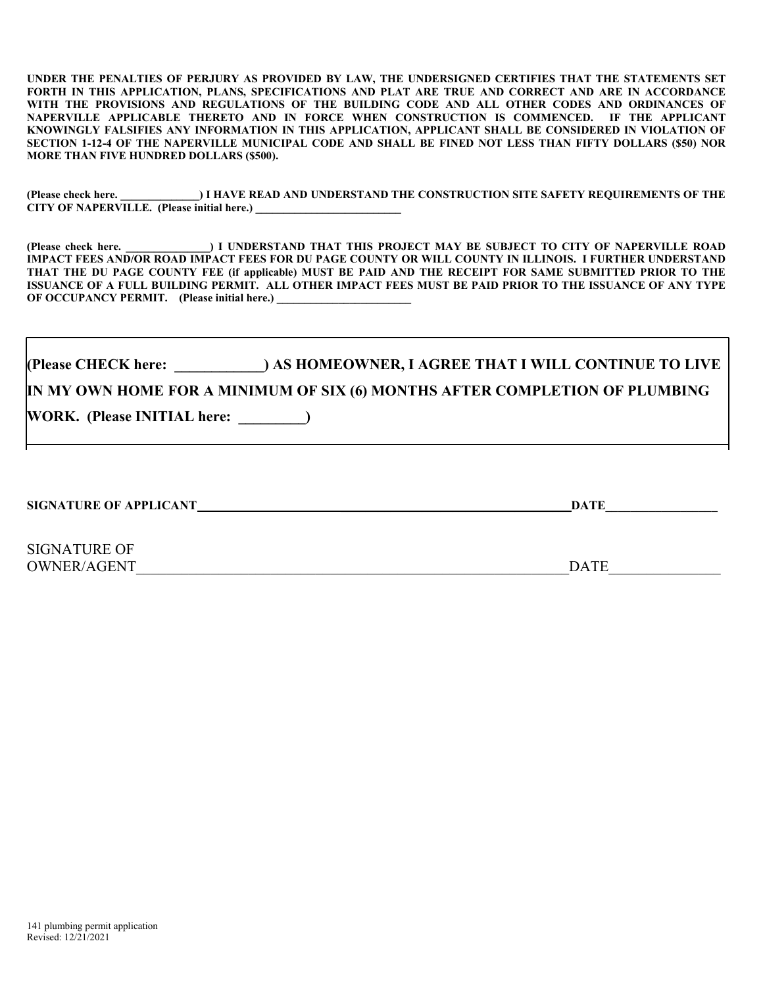UNDER THE PENALTIES OF PERJURY AS PROVIDED BY LAW, THE UNDERSIGNED CERTIFIES THAT THE STATEMENTS SET FORTH IN THIS APPLICATION, PLANS, SPECIFICATIONS AND PLAT ARE TRUE AND CORRECT AND ARE IN ACCORDANCE WITH THE PROVISIONS AND REGULATIONS OF THE BUILDING CODE AND ALL OTHER CODES AND ORDINANCES OF NAPERVILLE APPLICABLE THERETO AND IN FORCE WHEN CONSTRUCTION IS COMMENCED. IF THE APPLICANT KNOWINGLY FALSIFIES ANY INFORMATION IN THIS APPLICATION, APPLICANT SHALL BE CONSIDERED IN VIOLATION OF SECTION 1-12-4 OF THE NAPERVILLE MUNICIPAL CODE AND SHALL BE FINED NOT LESS THAN FIFTY DOLLARS (\$50) NOR MORE THAN FIVE HUNDRED DOLLARS (\$500).

(Please check here.  $\Box$ ) I HAVE READ AND UNDERSTAND THE CONSTRUCTION SITE SAFETY REQUIREMENTS OF THE CITY OF NAPERVILLE. (Please initial here.)

(Please check here. \_\_\_\_\_\_\_\_\_\_\_\_\_\_\_) I UNDERSTAND THAT THIS PROJECT MAY BE SUBJECT TO CITY OF NAPERVILLE ROAD IMPACT FEES AND/OR ROAD IMPACT FEES FOR DU PAGE COUNTY OR WILL COUNTY IN ILLINOIS. I FURTHER UNDERSTAND THAT THE DU PAGE COUNTY FEE (if applicable) MUST BE PAID AND THE RECEIPT FOR SAME SUBMITTED PRIOR TO THE ISSUANCE OF A FULL BUILDING PERMIT. ALL OTHER IMPACT FEES MUST BE PAID PRIOR TO THE ISSUANCE OF ANY TYPE OF OCCUPANCY PERMIT. (Please initial here.)

(Please CHECK here: \_\_\_\_\_\_\_\_\_\_\_\_) AS HOMEOWNER, I AGREE THAT I WILL CONTINUE TO LIVE IN MY OWN HOME FOR A MINIMUM OF SIX (6) MONTHS AFTER COMPLETION OF PLUMBING WORK. (Please INITIAL here: \_\_\_\_\_\_\_\_\_)

SIGNATURE OF APPLICANT **with a straight of a straight of a straight of a straight of a straight of a straight of a straight of a straight of a straight of a straight of a straight of a straight of a straight of a straight** 

SIGNATURE OF OWNER/AGENT\_\_\_\_\_\_\_\_\_\_\_\_\_\_\_\_\_\_\_\_\_\_\_\_\_\_\_\_\_\_\_\_\_\_\_\_\_\_\_\_\_\_\_\_\_\_\_\_\_\_\_\_\_\_\_\_\_\_DATE\_\_\_\_\_\_\_\_\_\_\_\_\_\_\_